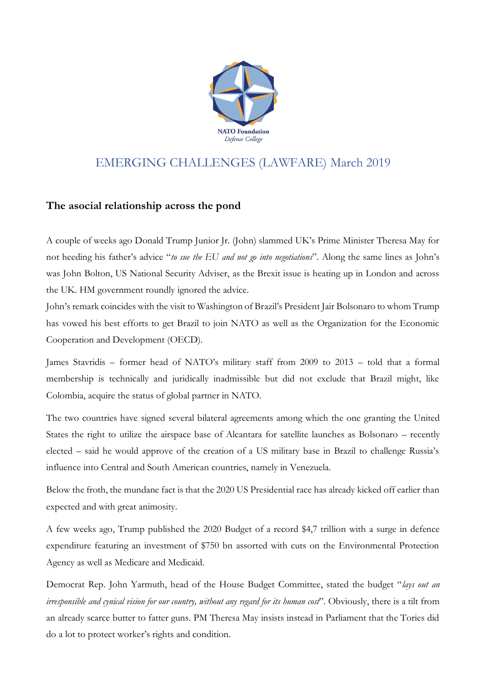

## EMERGING CHALLENGES (LAWFARE) March 2019

## **The asocial relationship across the pond**

A couple of weeks ago Donald Trump Junior Jr. (John) slammed UK's Prime Minister Theresa May for not heeding his father's advice "*to sue the EU and not go into negotiations*". Along the same lines as John's was John Bolton, US National Security Adviser, as the Brexit issue is heating up in London and across the UK. HM government roundly ignored the advice.

John's remark coincides with the visit to Washington of Brazil's President Jair Bolsonaro to whom Trump has vowed his best efforts to get Brazil to join NATO as well as the Organization for the Economic Cooperation and Development (OECD).

James Stavridis – former head of NATO's military staff from 2009 to 2013 – told that a formal membership is technically and juridically inadmissible but did not exclude that Brazil might, like Colombia, acquire the status of global partner in NATO.

The two countries have signed several bilateral agreements among which the one granting the United States the right to utilize the airspace base of Alcantara for satellite launches as Bolsonaro – recently elected – said he would approve of the creation of a US military base in Brazil to challenge Russia's influence into Central and South American countries, namely in Venezuela.

Below the froth, the mundane fact is that the 2020 US Presidential race has already kicked off earlier than expected and with great animosity.

A few weeks ago, Trump published the 2020 Budget of a record \$4,7 trillion with a surge in defence expenditure featuring an investment of \$750 bn assorted with cuts on the Environmental Protection Agency as well as Medicare and Medicaid.

Democrat Rep. John Yarmuth, head of the House Budget Committee, stated the budget "*lays out an irresponsible and cynical vision for our country, without any regard for its human cost*". Obviously, there is a tilt from an already scarce butter to fatter guns. PM Theresa May insists instead in Parliament that the Tories did do a lot to protect worker's rights and condition.